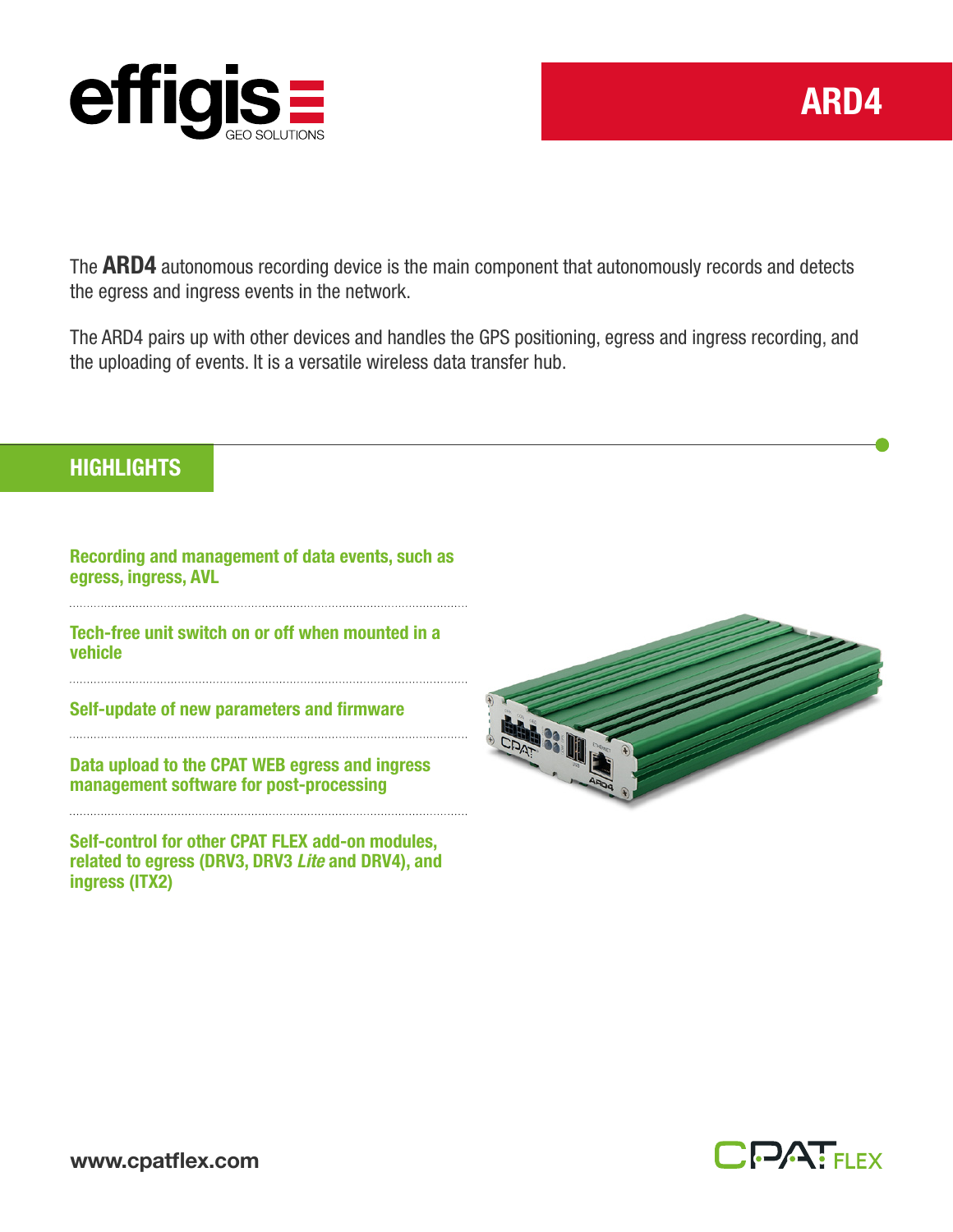

The **ARD4** autonomous recording device is the main component that autonomously records and detects the egress and ingress events in the network.

The ARD4 pairs up with other devices and handles the GPS positioning, egress and ingress recording, and the uploading of events. It is a versatile wireless data transfer hub.

## **HIGHLIGHTS**

Recording and management of data events, such as egress, ingress, AVL

Tech-free unit switch on or off when mounted in a vehicle

Self-update of new parameters and firmware

Data upload to the CPAT WEB egress and ingress management software for post-processing

Self-control for other CPAT FLEX add-on modules, related to egress (DRV3, DRV3 *Lite* and DRV4), and ingress (ITX2)